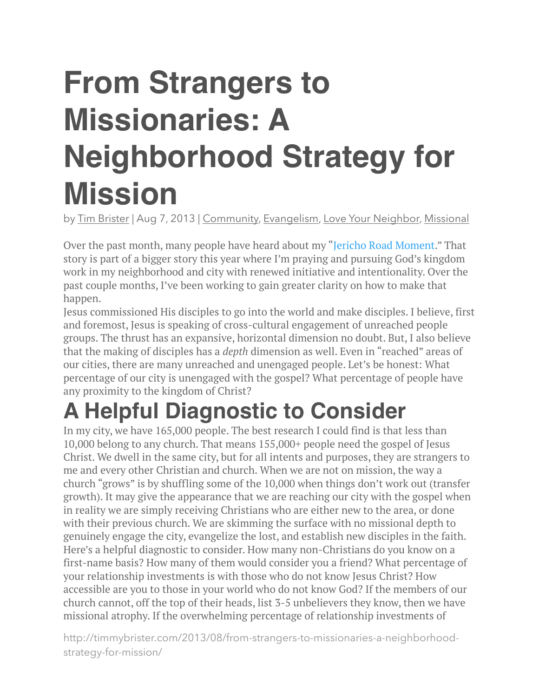# **From Strangers to Missionaries: A Neighborhood Strategy for Mission**

by [Tim Brister](http://timmybrister.com/author/timmy-brister/) | Aug 7, 2013 | [Community,](http://timmybrister.com/category/community/) [Evangelism,](http://timmybrister.com/category/evangelism/) [Love Your Neighbor,](http://timmybrister.com/category/love-your-neighbor/) [Missional](http://timmybrister.com/category/missional/)

Over the past month, many people have heard about my "[Jericho Road Moment](http://timmybrister.com/2013/07/my-jericho-moment/)." That story is part of a bigger story this year where I'm praying and pursuing God's kingdom work in my neighborhood and city with renewed initiative and intentionality. Over the past couple months, I've been working to gain greater clarity on how to make that happen.

Jesus commissioned His disciples to go into the world and make disciples. I believe, first and foremost, Jesus is speaking of cross-cultural engagement of unreached people groups. The thrust has an expansive, horizontal dimension no doubt. But, I also believe that the making of disciples has a *depth* dimension as well. Even in "reached" areas of our cities, there are many unreached and unengaged people. Let's be honest: What percentage of our city is unengaged with the gospel? What percentage of people have any proximity to the kingdom of Christ?

#### **A Helpful Diagnostic to Consider**

In my city, we have 165,000 people. The best research I could find is that less than 10,000 belong to any church. That means 155,000+ people need the gospel of Jesus Christ. We dwell in the same city, but for all intents and purposes, they are strangers to me and every other Christian and church. When we are not on mission, the way a church "grows" is by shuffling some of the 10,000 when things don't work out (transfer growth). It may give the appearance that we are reaching our city with the gospel when in reality we are simply receiving Christians who are either new to the area, or done with their previous church. We are skimming the surface with no missional depth to genuinely engage the city, evangelize the lost, and establish new disciples in the faith. Here's a helpful diagnostic to consider. How many non-Christians do you know on a first-name basis? How many of them would consider you a friend? What percentage of your relationship investments is with those who do not know Jesus Christ? How accessible are you to those in your world who do not know God? If the members of our church cannot, off the top of their heads, list 3-5 unbelievers they know, then we have missional atrophy. If the overwhelming percentage of relationship investments of

http://timmybrister.com/2013/08/from-strangers-to-missionaries-a-neighborhoodstrategy-for-mission/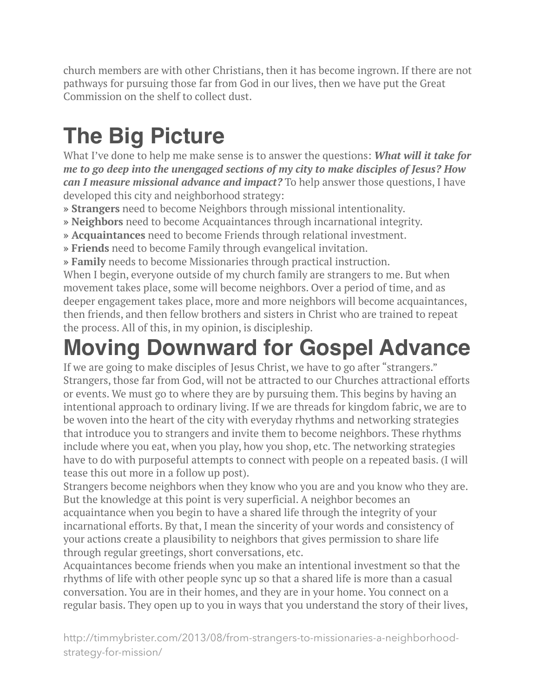church members are with other Christians, then it has become ingrown. If there are not pathways for pursuing those far from God in our lives, then we have put the Great Commission on the shelf to collect dust.

### **The Big Picture**

What I've done to help me make sense is to answer the questions: *What will it take for me to go deep into the unengaged sections of my city to make disciples of Jesus? How can I measure missional advance and impact?* To help answer those questions, I have developed this city and neighborhood strategy:

- **» Strangers** need to become Neighbors through missional intentionality.
- **» Neighbors** need to become Acquaintances through incarnational integrity.
- **» Acquaintances** need to become Friends through relational investment.
- **» Friends** need to become Family through evangelical invitation.
- **» Family** needs to become Missionaries through practical instruction.

When I begin, everyone outside of my church family are strangers to me. But when movement takes place, some will become neighbors. Over a period of time, and as deeper engagement takes place, more and more neighbors will become acquaintances, then friends, and then fellow brothers and sisters in Christ who are trained to repeat the process. All of this, in my opinion, is discipleship.

### **Moving Downward for Gospel Advance**

If we are going to make disciples of Jesus Christ, we have to go after "strangers." Strangers, those far from God, will not be attracted to our Churches attractional efforts or events. We must go to where they are by pursuing them. This begins by having an intentional approach to ordinary living. If we are threads for kingdom fabric, we are to be woven into the heart of the city with everyday rhythms and networking strategies that introduce you to strangers and invite them to become neighbors. These rhythms include where you eat, when you play, how you shop, etc. The networking strategies have to do with purposeful attempts to connect with people on a repeated basis. (I will tease this out more in a follow up post).

Strangers become neighbors when they know who you are and you know who they are. But the knowledge at this point is very superficial. A neighbor becomes an acquaintance when you begin to have a shared life through the integrity of your incarnational efforts. By that, I mean the sincerity of your words and consistency of your actions create a plausibility to neighbors that gives permission to share life through regular greetings, short conversations, etc.

Acquaintances become friends when you make an intentional investment so that the rhythms of life with other people sync up so that a shared life is more than a casual conversation. You are in their homes, and they are in your home. You connect on a regular basis. They open up to you in ways that you understand the story of their lives,

http://timmybrister.com/2013/08/from-strangers-to-missionaries-a-neighborhoodstrategy-for-mission/